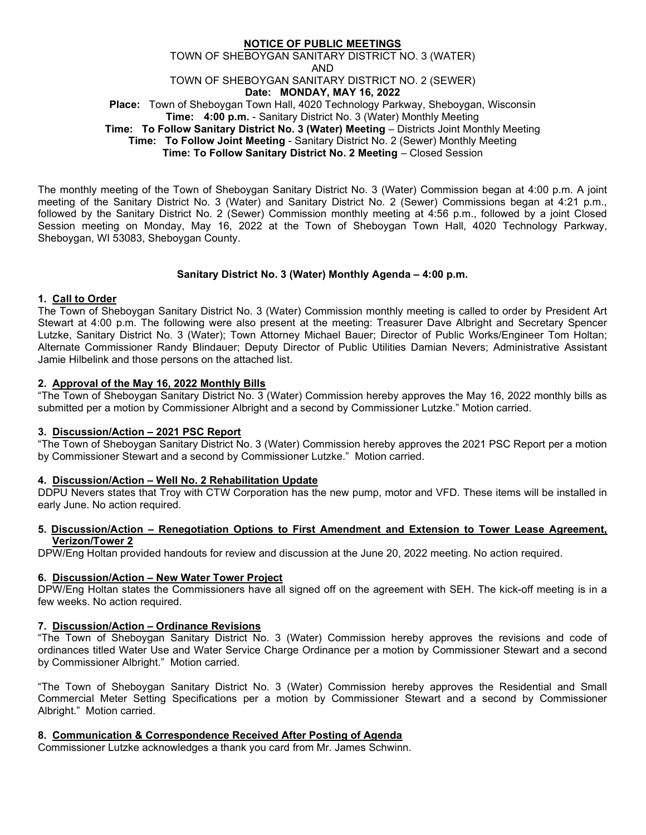## NOTICE OF PUBLIC MEETINGS TOWN OF SHEBOYGAN SANITARY DISTRICT NO. 3 (WATER) AND TOWN OF SHEBOYGAN SANITARY DISTRICT NO. 2 (SEWER) Date: MONDAY, MAY 16, 2022 Place: Town of Sheboygan Town Hall, 4020 Technology Parkway, Sheboygan, Wisconsin Time: 4:00 p.m. - Sanitary District No. 3 (Water) Monthly Meeting Time: To Follow Sanitary District No. 3 (Water) Meeting – Districts Joint Monthly Meeting Time: To Follow Joint Meeting - Sanitary District No. 2 (Sewer) Monthly Meeting Time: To Follow Sanitary District No. 2 Meeting – Closed Session

The monthly meeting of the Town of Sheboygan Sanitary District No. 3 (Water) Commission began at 4:00 p.m. A joint meeting of the Sanitary District No. 3 (Water) and Sanitary District No. 2 (Sewer) Commissions began at 4:21 p.m., followed by the Sanitary District No. 2 (Sewer) Commission monthly meeting at 4:56 p.m., followed by a joint Closed Session meeting on Monday, May 16, 2022 at the Town of Sheboygan Town Hall, 4020 Technology Parkway, Sheboygan, WI 53083, Sheboygan County.

## Sanitary District No. 3 (Water) Monthly Agenda – 4:00 p.m.

## 1. Call to Order

The Town of Sheboygan Sanitary District No. 3 (Water) Commission monthly meeting is called to order by President Art Stewart at 4:00 p.m. The following were also present at the meeting: Treasurer Dave Albright and Secretary Spencer Lutzke, Sanitary District No. 3 (Water); Town Attorney Michael Bauer; Director of Public Works/Engineer Tom Holtan; Alternate Commissioner Randy Blindauer; Deputy Director of Public Utilities Damian Nevers; Administrative Assistant Jamie Hilbelink and those persons on the attached list.

## 2. Approval of the May 16, 2022 Monthly Bills

"The Town of Sheboygan Sanitary District No. 3 (Water) Commission hereby approves the May 16, 2022 monthly bills as submitted per a motion by Commissioner Albright and a second by Commissioner Lutzke." Motion carried.

## 3. Discussion/Action – 2021 PSC Report

"The Town of Sheboygan Sanitary District No. 3 (Water) Commission hereby approves the 2021 PSC Report per a motion by Commissioner Stewart and a second by Commissioner Lutzke." Motion carried.

## 4. Discussion/Action – Well No. 2 Rehabilitation Update

DDPU Nevers states that Troy with CTW Corporation has the new pump, motor and VFD. These items will be installed in early June. No action required.

## 5. Discussion/Action – Renegotiation Options to First Amendment and Extension to Tower Lease Agreement, Verizon/Tower 2

DPW/Eng Holtan provided handouts for review and discussion at the June 20, 2022 meeting. No action required.

## 6. Discussion/Action – New Water Tower Project

DPW/Eng Holtan states the Commissioners have all signed off on the agreement with SEH. The kick-off meeting is in a few weeks. No action required.

## 7. Discussion/Action – Ordinance Revisions

"The Town of Sheboygan Sanitary District No. 3 (Water) Commission hereby approves the revisions and code of ordinances titled Water Use and Water Service Charge Ordinance per a motion by Commissioner Stewart and a second by Commissioner Albright." Motion carried.

"The Town of Sheboygan Sanitary District No. 3 (Water) Commission hereby approves the Residential and Small Commercial Meter Setting Specifications per a motion by Commissioner Stewart and a second by Commissioner Albright." Motion carried.

## 8. Communication & Correspondence Received After Posting of Agenda

Commissioner Lutzke acknowledges a thank you card from Mr. James Schwinn.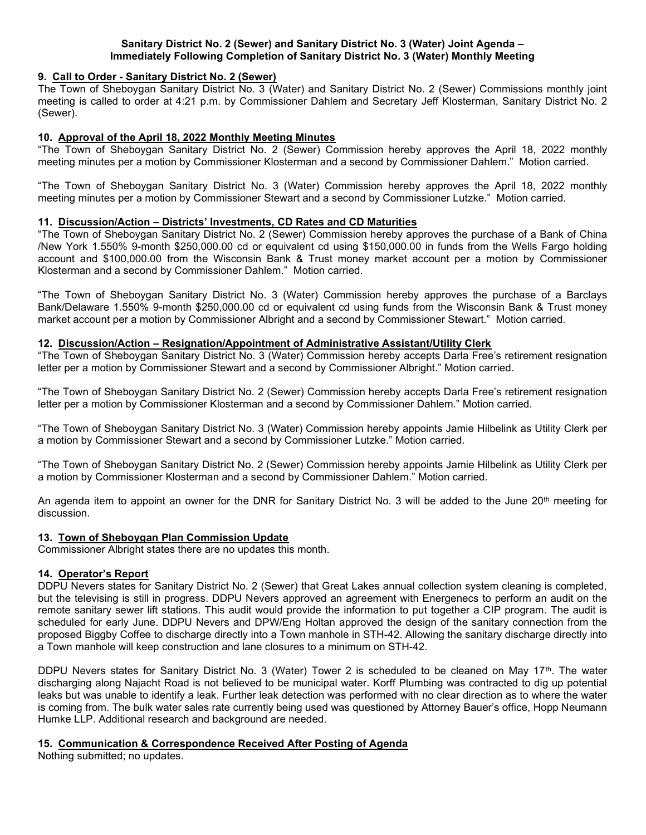## Sanitary District No. 2 (Sewer) and Sanitary District No. 3 (Water) Joint Agenda – Immediately Following Completion of Sanitary District No. 3 (Water) Monthly Meeting

#### 9. Call to Order - Sanitary District No. 2 (Sewer)

The Town of Sheboygan Sanitary District No. 3 (Water) and Sanitary District No. 2 (Sewer) Commissions monthly joint meeting is called to order at 4:21 p.m. by Commissioner Dahlem and Secretary Jeff Klosterman, Sanitary District No. 2 (Sewer).

## 10. Approval of the April 18, 2022 Monthly Meeting Minutes

"The Town of Sheboygan Sanitary District No. 2 (Sewer) Commission hereby approves the April 18, 2022 monthly meeting minutes per a motion by Commissioner Klosterman and a second by Commissioner Dahlem." Motion carried.

"The Town of Sheboygan Sanitary District No. 3 (Water) Commission hereby approves the April 18, 2022 monthly meeting minutes per a motion by Commissioner Stewart and a second by Commissioner Lutzke." Motion carried.

## 11. Discussion/Action – Districts' Investments, CD Rates and CD Maturities

"The Town of Sheboygan Sanitary District No. 2 (Sewer) Commission hereby approves the purchase of a Bank of China /New York 1.550% 9-month \$250,000.00 cd or equivalent cd using \$150,000.00 in funds from the Wells Fargo holding account and \$100,000.00 from the Wisconsin Bank & Trust money market account per a motion by Commissioner Klosterman and a second by Commissioner Dahlem." Motion carried.

"The Town of Sheboygan Sanitary District No. 3 (Water) Commission hereby approves the purchase of a Barclays Bank/Delaware 1.550% 9-month \$250,000.00 cd or equivalent cd using funds from the Wisconsin Bank & Trust money market account per a motion by Commissioner Albright and a second by Commissioner Stewart." Motion carried.

#### 12. Discussion/Action – Resignation/Appointment of Administrative Assistant/Utility Clerk

"The Town of Sheboygan Sanitary District No. 3 (Water) Commission hereby accepts Darla Free's retirement resignation letter per a motion by Commissioner Stewart and a second by Commissioner Albright." Motion carried.

"The Town of Sheboygan Sanitary District No. 2 (Sewer) Commission hereby accepts Darla Free's retirement resignation letter per a motion by Commissioner Klosterman and a second by Commissioner Dahlem." Motion carried.

"The Town of Sheboygan Sanitary District No. 3 (Water) Commission hereby appoints Jamie Hilbelink as Utility Clerk per a motion by Commissioner Stewart and a second by Commissioner Lutzke." Motion carried.

"The Town of Sheboygan Sanitary District No. 2 (Sewer) Commission hereby appoints Jamie Hilbelink as Utility Clerk per a motion by Commissioner Klosterman and a second by Commissioner Dahlem." Motion carried.

An agenda item to appoint an owner for the DNR for Sanitary District No. 3 will be added to the June 20<sup>th</sup> meeting for discussion.

## 13. Town of Sheboygan Plan Commission Update

Commissioner Albright states there are no updates this month.

## 14. Operator's Report

DDPU Nevers states for Sanitary District No. 2 (Sewer) that Great Lakes annual collection system cleaning is completed, but the televising is still in progress. DDPU Nevers approved an agreement with Energenecs to perform an audit on the remote sanitary sewer lift stations. This audit would provide the information to put together a CIP program. The audit is scheduled for early June. DDPU Nevers and DPW/Eng Holtan approved the design of the sanitary connection from the proposed Biggby Coffee to discharge directly into a Town manhole in STH-42. Allowing the sanitary discharge directly into a Town manhole will keep construction and lane closures to a minimum on STH-42.

DDPU Nevers states for Sanitary District No. 3 (Water) Tower 2 is scheduled to be cleaned on May 17<sup>th</sup>. The water discharging along Najacht Road is not believed to be municipal water. Korff Plumbing was contracted to dig up potential leaks but was unable to identify a leak. Further leak detection was performed with no clear direction as to where the water is coming from. The bulk water sales rate currently being used was questioned by Attorney Bauer's office, Hopp Neumann Humke LLP. Additional research and background are needed.

## 15. Communication & Correspondence Received After Posting of Agenda

Nothing submitted; no updates.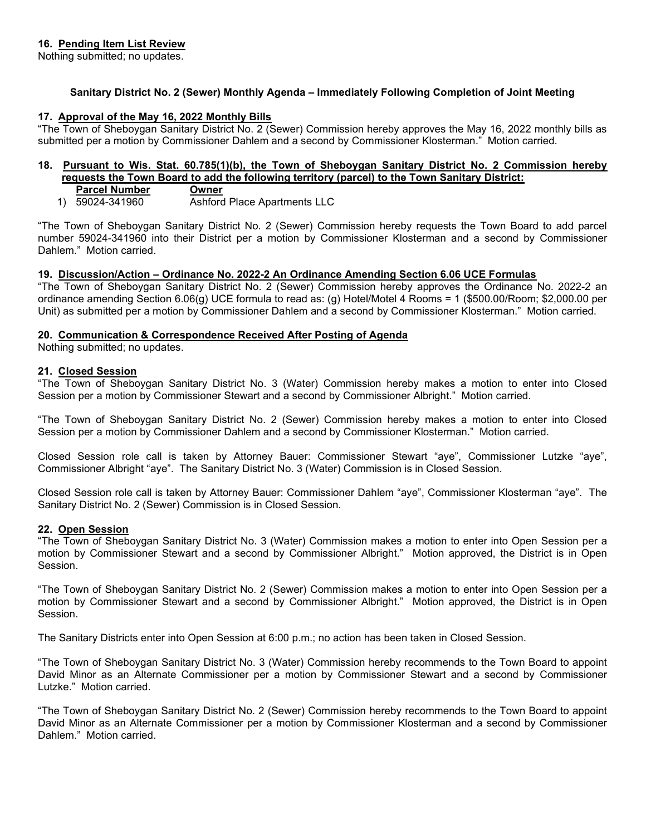Nothing submitted; no updates.

# Sanitary District No. 2 (Sewer) Monthly Agenda – Immediately Following Completion of Joint Meeting

## 17. Approval of the May 16, 2022 Monthly Bills

"The Town of Sheboygan Sanitary District No. 2 (Sewer) Commission hereby approves the May 16, 2022 monthly bills as submitted per a motion by Commissioner Dahlem and a second by Commissioner Klosterman." Motion carried.

## 18. Pursuant to Wis. Stat. 60.785(1)(b), the Town of Sheboygan Sanitary District No. 2 Commission hereby requests the Town Board to add the following territory (parcel) to the Town Sanitary District:

- Parcel Number Owner
- 1) 59024-341960 Ashford Place Apartments LLC

"The Town of Sheboygan Sanitary District No. 2 (Sewer) Commission hereby requests the Town Board to add parcel number 59024-341960 into their District per a motion by Commissioner Klosterman and a second by Commissioner Dahlem." Motion carried.

## 19. Discussion/Action – Ordinance No. 2022-2 An Ordinance Amending Section 6.06 UCE Formulas

"The Town of Sheboygan Sanitary District No. 2 (Sewer) Commission hereby approves the Ordinance No. 2022-2 an ordinance amending Section 6.06(g) UCE formula to read as: (g) Hotel/Motel 4 Rooms = 1 (\$500.00/Room; \$2,000.00 per Unit) as submitted per a motion by Commissioner Dahlem and a second by Commissioner Klosterman." Motion carried.

## 20. Communication & Correspondence Received After Posting of Agenda

Nothing submitted; no updates.

# 21. Closed Session

"The Town of Sheboygan Sanitary District No. 3 (Water) Commission hereby makes a motion to enter into Closed Session per a motion by Commissioner Stewart and a second by Commissioner Albright." Motion carried.

"The Town of Sheboygan Sanitary District No. 2 (Sewer) Commission hereby makes a motion to enter into Closed Session per a motion by Commissioner Dahlem and a second by Commissioner Klosterman." Motion carried.

Closed Session role call is taken by Attorney Bauer: Commissioner Stewart "aye", Commissioner Lutzke "aye", Commissioner Albright "aye". The Sanitary District No. 3 (Water) Commission is in Closed Session.

Closed Session role call is taken by Attorney Bauer: Commissioner Dahlem "aye", Commissioner Klosterman "aye". The Sanitary District No. 2 (Sewer) Commission is in Closed Session.

## 22. Open Session

"The Town of Sheboygan Sanitary District No. 3 (Water) Commission makes a motion to enter into Open Session per a motion by Commissioner Stewart and a second by Commissioner Albright." Motion approved, the District is in Open Session.

"The Town of Sheboygan Sanitary District No. 2 (Sewer) Commission makes a motion to enter into Open Session per a motion by Commissioner Stewart and a second by Commissioner Albright." Motion approved, the District is in Open Session.

The Sanitary Districts enter into Open Session at 6:00 p.m.; no action has been taken in Closed Session.

"The Town of Sheboygan Sanitary District No. 3 (Water) Commission hereby recommends to the Town Board to appoint David Minor as an Alternate Commissioner per a motion by Commissioner Stewart and a second by Commissioner Lutzke." Motion carried.

"The Town of Sheboygan Sanitary District No. 2 (Sewer) Commission hereby recommends to the Town Board to appoint David Minor as an Alternate Commissioner per a motion by Commissioner Klosterman and a second by Commissioner Dahlem." Motion carried.